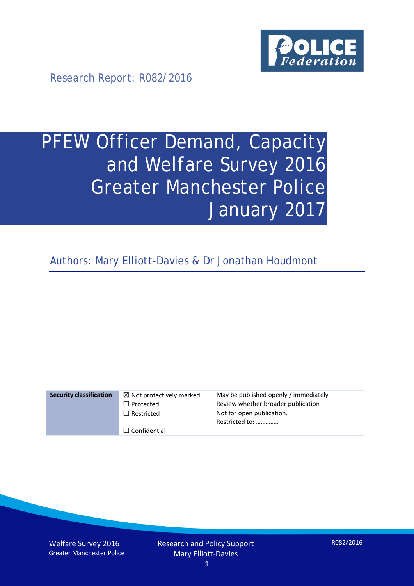

Research Report: R082/2016

# PFEW Officer Demand, Capacity and Welfare Survey 2016 Greater Manchester Police January 2017

Authors: Mary Elliott-Davies & Dr Jonathan Houdmont

| <b>Security classification</b> | $\boxtimes$ Not protectively marked | May be published openly / immediately       |
|--------------------------------|-------------------------------------|---------------------------------------------|
|                                | $\Box$ Protected                    | Review whether broader publication          |
|                                | $\Box$ Restricted                   | Not for open publication.<br>Restricted to: |
|                                | $\Box$ Confidential                 |                                             |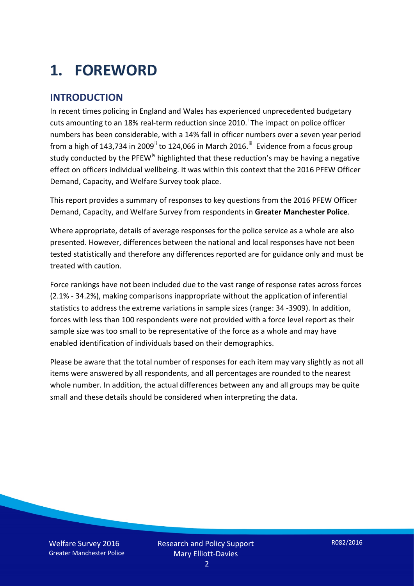# **1. FOREWORD**

#### **INTRODUCTION**

In recent times policing in England and Wales has experienced unprecedented budgetary cuts amount[i](#page-15-0)ng to an 18% real-term reduction since 2010.<sup>1</sup> The impact on police officer numbers has been considerable, with a 14% fall in officer numbers over a seven year period from a high of 143,734 in 2009<sup>[ii](#page-15-1)</sup> to 124,066 in March 2016.<sup>[iii](#page-15-2)</sup> Evidence from a focus group study conducted by the PFEW<sup>[iv](#page-15-3)</sup> highlighted that these reduction's may be having a negative effect on officers individual wellbeing. It was within this context that the 2016 PFEW Officer Demand, Capacity, and Welfare Survey took place.

This report provides a summary of responses to key questions from the 2016 PFEW Officer Demand, Capacity, and Welfare Survey from respondents in **Greater Manchester Police**.

Where appropriate, details of average responses for the police service as a whole are also presented. However, differences between the national and local responses have not been tested statistically and therefore any differences reported are for guidance only and must be treated with caution.

Force rankings have not been included due to the vast range of response rates across forces (2.1% - 34.2%), making comparisons inappropriate without the application of inferential statistics to address the extreme variations in sample sizes (range: 34 -3909). In addition, forces with less than 100 respondents were not provided with a force level report as their sample size was too small to be representative of the force as a whole and may have enabled identification of individuals based on their demographics.

Please be aware that the total number of responses for each item may vary slightly as not all items were answered by all respondents, and all percentages are rounded to the nearest whole number. In addition, the actual differences between any and all groups may be quite small and these details should be considered when interpreting the data.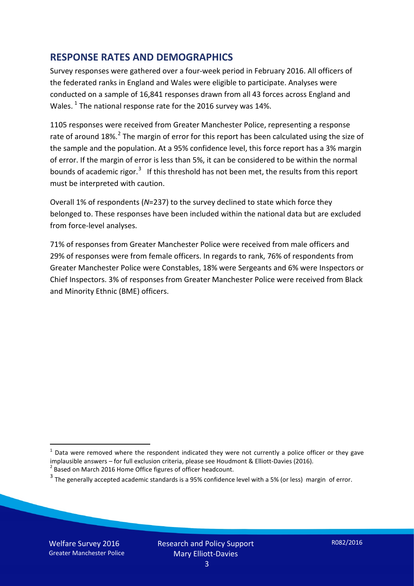#### **RESPONSE RATES AND DEMOGRAPHICS**

Survey responses were gathered over a four-week period in February 2016. All officers of the federated ranks in England and Wales were eligible to participate. Analyses were conducted on a sample of 16,841 responses drawn from all 43 forces across England and Wales.  $^1$  $^1$  The national response rate for the 2016 survey was 14%.

1105 responses were received from Greater Manchester Police, representing a response rate of around 18%.<sup>[2](#page-2-1)</sup> The margin of error for this report has been calculated using the size of the sample and the population. At a 95% confidence level, this force report has a 3% margin of error. If the margin of error is less than 5%, it can be considered to be within the normal bounds of academic rigor.<sup>[3](#page-2-2)</sup> If this threshold has not been met, the results from this report must be interpreted with caution.

Overall 1% of respondents (*N*=237) to the survey declined to state which force they belonged to. These responses have been included within the national data but are excluded from force-level analyses.

71% of responses from Greater Manchester Police were received from male officers and 29% of responses were from female officers. In regards to rank, 76% of respondents from Greater Manchester Police were Constables, 18% were Sergeants and 6% were Inspectors or Chief Inspectors. 3% of responses from Greater Manchester Police were received from Black and Minority Ethnic (BME) officers.

<u>.</u>

<span id="page-2-0"></span> $1$  Data were removed where the respondent indicated they were not currently a police officer or they gave implausible answers – for full exclusion criteria, please see Houdmont & Elliott-Davies (2016).<br><sup>2</sup> Based on March 2016 Home Office figures of officer headcount.

<span id="page-2-1"></span>

<span id="page-2-2"></span> $3$  The generally accepted academic standards is a 95% confidence level with a 5% (or less) margin of error.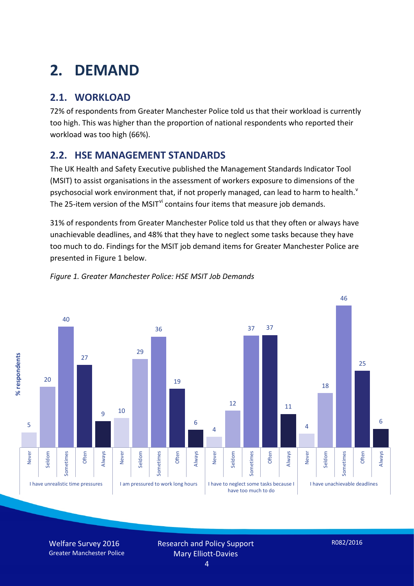# **2. DEMAND**

### **2.1. WORKLOAD**

72% of respondents from Greater Manchester Police told us that their workload is currently too high. This was higher than the proportion of national respondents who reported their workload was too high (66%).

#### **2.2. HSE MANAGEMENT STANDARDS**

The UK Health and Safety Executive published the Management Standards Indicator Tool (MSIT) to assist organisations in the assessment of workers exposure to dimensions of the psychosocial work en[v](#page-15-4)ironment that, if not properly managed, can lead to harm to health.<sup>v</sup> The 25-item version of the MSIT<sup>[vi](#page-15-5)</sup> contains four items that measure job demands.

31% of respondents from Greater Manchester Police told us that they often or always have unachievable deadlines, and 48% that they have to neglect some tasks because they have too much to do. Findings for the MSIT job demand items for Greater Manchester Police are presented in Figure 1 below.



#### *Figure 1. Greater Manchester Police: HSE MSIT Job Demands*

Welfare Survey 2016 Greater Manchester Police Research and Policy Support Mary Elliott-Davies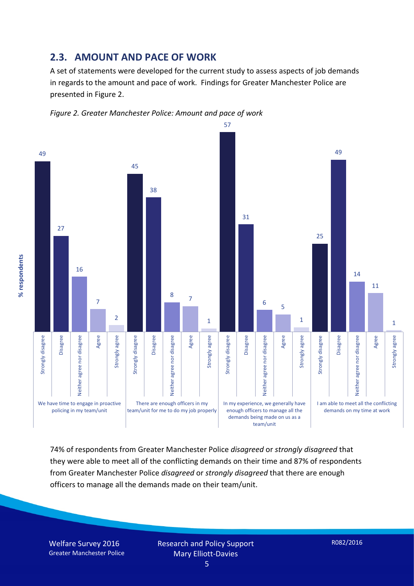#### **2.3. AMOUNT AND PACE OF WORK**

A set of statements were developed for the current study to assess aspects of job demands in regards to the amount and pace of work. Findings for Greater Manchester Police are presented in Figure 2.





74% of respondents from Greater Manchester Police *disagreed* or *strongly disagreed* that they were able to meet all of the conflicting demands on their time and 87% of respondents from Greater Manchester Police *disagreed* or *strongly disagreed* that there are enough officers to manage all the demands made on their team/unit.

Welfare Survey 2016 Greater Manchester Police

5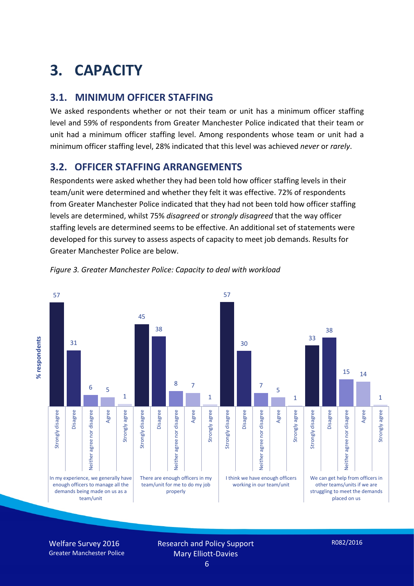# **3. CAPACITY**

#### **3.1. MINIMUM OFFICER STAFFING**

We asked respondents whether or not their team or unit has a minimum officer staffing level and 59% of respondents from Greater Manchester Police indicated that their team or unit had a minimum officer staffing level. Among respondents whose team or unit had a minimum officer staffing level, 28% indicated that this level was achieved *never* or *rarely*.

#### **3.2. OFFICER STAFFING ARRANGEMENTS**

Respondents were asked whether they had been told how officer staffing levels in their team/unit were determined and whether they felt it was effective. 72% of respondents from Greater Manchester Police indicated that they had not been told how officer staffing levels are determined, whilst 75% *disagreed* or *strongly disagreed* that the way officer staffing levels are determined seems to be effective. An additional set of statements were developed for this survey to assess aspects of capacity to meet job demands. Results for Greater Manchester Police are below.



*Figure 3. Greater Manchester Police: Capacity to deal with workload*

Welfare Survey 2016 Greater Manchester Police Research and Policy Support Mary Elliott-Davies

R082/2016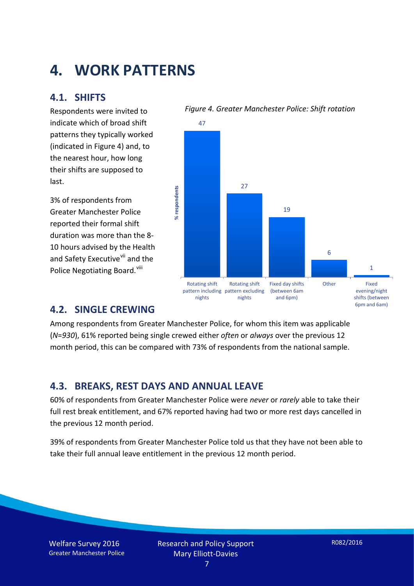## **4. WORK PATTERNS**

#### **4.1. SHIFTS**

Respondents were invited to indicate which of broad shift patterns they typically worked (indicated in Figure 4) and, to the nearest hour, how long their shifts are supposed to last.

3% of respondents from Greater Manchester Police reported their formal shift duration was more than the 8- 10 hours advised by the Health and Safety Executive<sup>[vii](#page-15-6)</sup> and the Police Negotiating Board.<sup>[viii](#page-15-7)</sup>





#### **4.2. SINGLE CREWING**

Among respondents from Greater Manchester Police, for whom this item was applicable (*N*=*930*), 61% reported being single crewed either *often* or *always* over the previous 12 month period, this can be compared with 73% of respondents from the national sample.

#### **4.3. BREAKS, REST DAYS AND ANNUAL LEAVE**

60% of respondents from Greater Manchester Police were *never* or *rarely* able to take their full rest break entitlement, and 67% reported having had two or more rest days cancelled in the previous 12 month period.

39% of respondents from Greater Manchester Police told us that they have not been able to take their full annual leave entitlement in the previous 12 month period.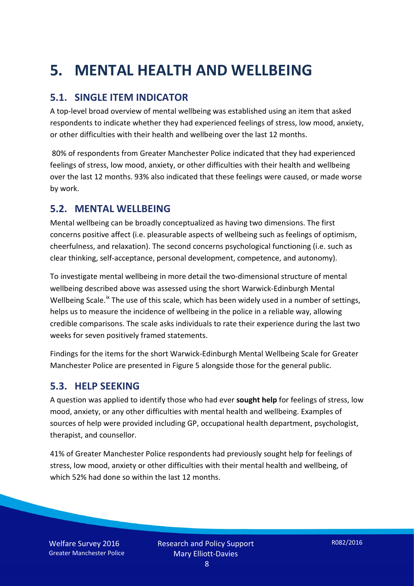# **5. MENTAL HEALTH AND WELLBEING**

#### **5.1. SINGLE ITEM INDICATOR**

A top-level broad overview of mental wellbeing was established using an item that asked respondents to indicate whether they had experienced feelings of stress, low mood, anxiety, or other difficulties with their health and wellbeing over the last 12 months.

80% of respondents from Greater Manchester Police indicated that they had experienced feelings of stress, low mood, anxiety, or other difficulties with their health and wellbeing over the last 12 months. 93% also indicated that these feelings were caused, or made worse by work.

#### **5.2. MENTAL WELLBEING**

Mental wellbeing can be broadly conceptualized as having two dimensions. The first concerns positive affect (i.e. pleasurable aspects of wellbeing such as feelings of optimism, cheerfulness, and relaxation). The second concerns psychological functioning (i.e. such as clear thinking, self-acceptance, personal development, competence, and autonomy).

To investigate mental wellbeing in more detail the two-dimensional structure of mental wellbeing described above was assessed using the short Warwick-Edinburgh Mental Wellbeing Scale.<sup>[ix](#page-15-8)</sup> The use of this scale, which has been widely used in a number of settings, helps us to measure the incidence of wellbeing in the police in a reliable way, allowing credible comparisons. The scale asks individuals to rate their experience during the last two weeks for seven positively framed statements.

Findings for the items for the short Warwick-Edinburgh Mental Wellbeing Scale for Greater Manchester Police are presented in Figure 5 alongside those for the general public.

#### **5.3. HELP SEEKING**

A question was applied to identify those who had ever **sought help** for feelings of stress, low mood, anxiety, or any other difficulties with mental health and wellbeing. Examples of sources of help were provided including GP, occupational health department, psychologist, therapist, and counsellor.

41% of Greater Manchester Police respondents had previously sought help for feelings of stress, low mood, anxiety or other difficulties with their mental health and wellbeing, of which 52% had done so within the last 12 months.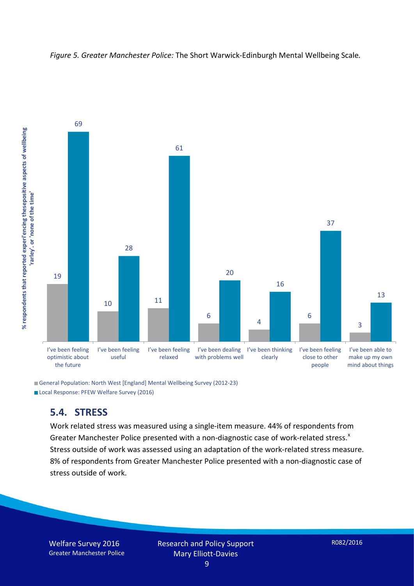



General Population: North West [England] Mental Wellbeing Survey (2012-23) Local Response: PFEW Welfare Survey (2016)

#### **5.4. STRESS**

Work related stress was measured using a single-item measure. 44% of respondents from Greater Manchester Police presented with a non-diagnostic case of work-related stress. $x$ Stress outside of work was assessed using an adaptation of the work-related stress measure. 8% of respondents from Greater Manchester Police presented with a non-diagnostic case of stress outside of work.

Welfare Survey 2016 Greater Manchester Police Research and Policy Support Mary Elliott-Davies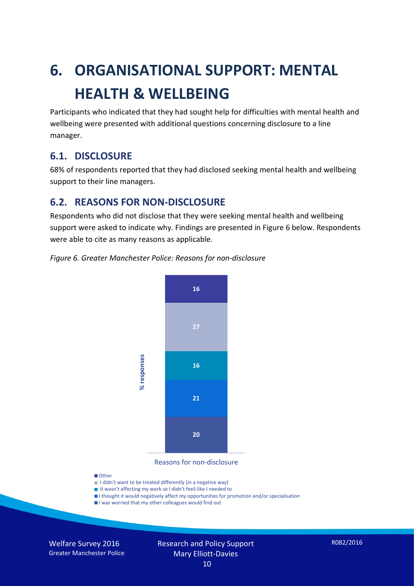# **6. ORGANISATIONAL SUPPORT: MENTAL HEALTH & WELLBEING**

Participants who indicated that they had sought help for difficulties with mental health and wellbeing were presented with additional questions concerning disclosure to a line manager.

#### **6.1. DISCLOSURE**

68% of respondents reported that they had disclosed seeking mental health and wellbeing support to their line managers.

#### **6.2. REASONS FOR NON-DISCLOSURE**

Respondents who did not disclose that they were seeking mental health and wellbeing support were asked to indicate why. Findings are presented in Figure 6 below. Respondents were able to cite as many reasons as applicable.





Reasons for non-disclosure

#### **D**Other

- I didn't want to be treated differently (in a negative way)
- I It wasn't affecting my work so I didn't feeli like I needed to
- I thought it would negatively affect my opportunities for promotion and/or specialisation
- I was worried that my other colleagues would find out

Welfare Survey 2016 Greater Manchester Police Research and Policy Support Mary Elliott-Davies 10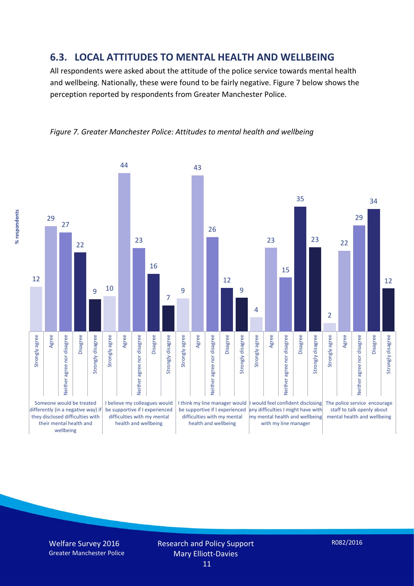#### **6.3. LOCAL ATTITUDES TO MENTAL HEALTH AND WELLBEING**

All respondents were asked about the attitude of the police service towards mental health and wellbeing. Nationally, these were found to be fairly negative. Figure 7 below shows the perception reported by respondents from Greater Manchester Police.



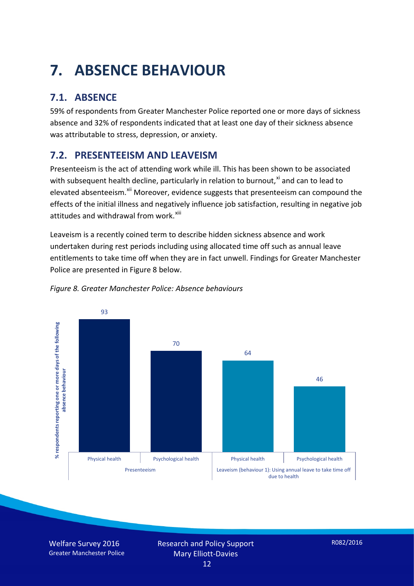# **7. ABSENCE BEHAVIOUR**

## **7.1. ABSENCE**

59% of respondents from Greater Manchester Police reported one or more days of sickness absence and 32% of respondents indicated that at least one day of their sickness absence was attributable to stress, depression, or anxiety.

### **7.2. PRESENTEEISM AND LEAVEISM**

Presenteeism is the act of attending work while ill. This has been shown to be associated with subsequent health decline, particularly in relation to burnout, $x_i$  and can to lead to elevated absenteeism.<sup>[xii](#page-16-1)</sup> Moreover, evidence suggests that presenteeism can compound the effects of the initial illness and negatively influence job satisfaction, resulting in negative job attitudes and withdrawal from work.<sup>[xiii](#page-16-2)</sup>

Leaveism is a recently coined term to describe hidden sickness absence and work undertaken during rest periods including using allocated time off such as annual leave entitlements to take time off when they are in fact unwell. Findings for Greater Manchester Police are presented in Figure 8 below.



#### *Figure 8. Greater Manchester Police: Absence behaviours*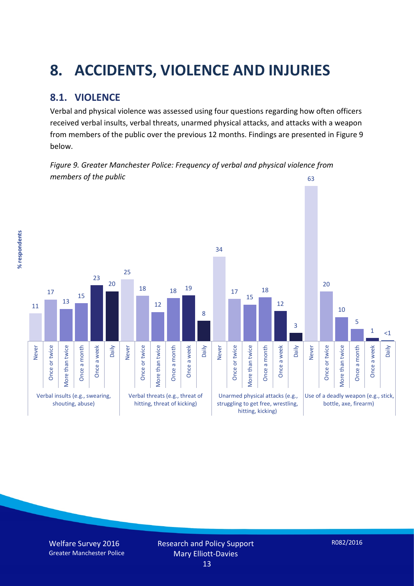# **8. ACCIDENTS, VIOLENCE AND INJURIES**

#### **8.1. VIOLENCE**

% respondents **% respondents** Verbal and physical violence was assessed using four questions regarding how often officers received verbal insults, verbal threats, unarmed physical attacks, and attacks with a weapon from members of the public over the previous 12 months. Findings are presented in Figure 9 below.

*Figure 9. Greater Manchester Police: Frequency of verbal and physical violence from members of the public* 63

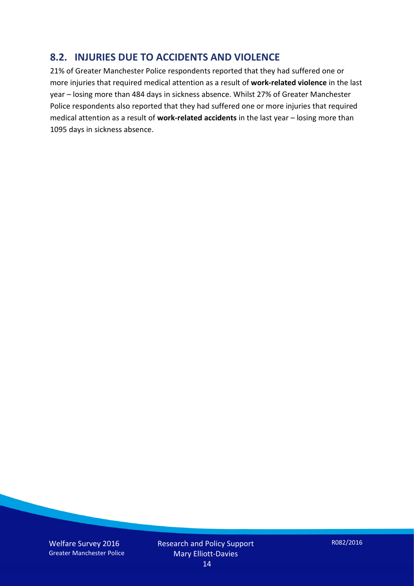#### **8.2. INJURIES DUE TO ACCIDENTS AND VIOLENCE**

21% of Greater Manchester Police respondents reported that they had suffered one or more injuries that required medical attention as a result of **work-related violence** in the last year – losing more than 484 days in sickness absence. Whilst 27% of Greater Manchester Police respondents also reported that they had suffered one or more injuries that required medical attention as a result of **work-related accidents** in the last year – losing more than 1095 days in sickness absence.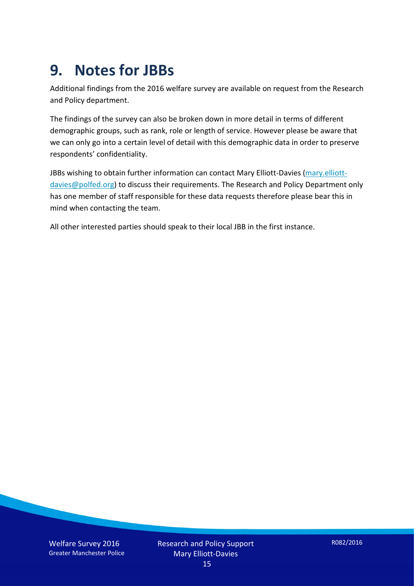## **9. Notes for JBBs**

Additional findings from the 2016 welfare survey are available on request from the Research and Policy department.

The findings of the survey can also be broken down in more detail in terms of different demographic groups, such as rank, role or length of service. However please be aware that we can only go into a certain level of detail with this demographic data in order to preserve respondents' confidentiality.

JBBs wishing to obtain further information can contact Mary Elliott-Davies [\(mary.elliott](mailto:mary.elliott-davies@polfed.org)[davies@polfed.org\)](mailto:mary.elliott-davies@polfed.org) to discuss their requirements. The Research and Policy Department only has one member of staff responsible for these data requests therefore please bear this in mind when contacting the team.

All other interested parties should speak to their local JBB in the first instance.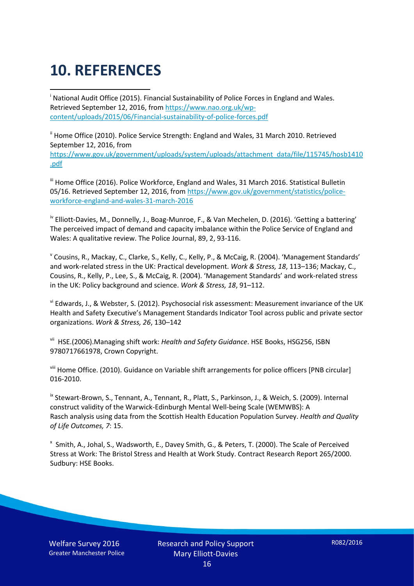# **10. REFERENCES**

<span id="page-15-0"></span>i National Audit Office (2015). Financial Sustainability of Police Forces in England and Wales. Retrieved September 12, 2016, fro[m https://www.nao.org.uk/wp](https://www.nao.org.uk/wp-content/uploads/2015/06/Financial-sustainability-of-police-forces.pdf)[content/uploads/2015/06/Financial-sustainability-of-police-forces.pdf](https://www.nao.org.uk/wp-content/uploads/2015/06/Financial-sustainability-of-police-forces.pdf)

<span id="page-15-1"></span><sup>ii</sup> Home Office (2010). Police Service Strength: England and Wales, 31 March 2010. Retrieved September 12, 2016, from [https://www.gov.uk/government/uploads/system/uploads/attachment\\_data/file/115745/hosb1410](https://www.gov.uk/government/uploads/system/uploads/attachment_data/file/115745/hosb1410.pdf) [.pdf](https://www.gov.uk/government/uploads/system/uploads/attachment_data/file/115745/hosb1410.pdf)

<span id="page-15-2"></span><sup>iii</sup> Home Office (2016). Police Workforce, England and Wales, 31 March 2016. Statistical Bulletin 05/16. Retrieved September 12, 2016, fro[m https://www.gov.uk/government/statistics/police](https://www.gov.uk/government/statistics/police-workforce-england-and-wales-31-march-2016)[workforce-england-and-wales-31-march-2016](https://www.gov.uk/government/statistics/police-workforce-england-and-wales-31-march-2016)

<span id="page-15-3"></span><sup>iv</sup> Elliott-Davies, M., Donnelly, J., Boag-Munroe, F., & Van Mechelen, D. (2016). 'Getting a battering' The perceived impact of demand and capacity imbalance within the Police Service of England and Wales: A qualitative review. The Police Journal, 89, 2, 93-116.

<span id="page-15-4"></span><sup>v</sup> Cousins, R., Mackay, C., Clarke, S., Kelly, C., Kelly, P., & McCaig, R. (2004). 'Management Standards' and work-related stress in the UK: Practical development. *Work & Stress, 18*, 113–136; Mackay, C., Cousins, R., Kelly, P., Lee, S., & McCaig, R. (2004). 'Management Standards' and work-related stress in the UK: Policy background and science. *Work & Stress, 18*, 91–112.

<span id="page-15-5"></span>vi Edwards, J., & Webster, S. (2012). Psychosocial risk assessment: Measurement invariance of the UK Health and Safety Executive's Management Standards Indicator Tool across public and private sector organizations. *Work & Stress, 26*, 130–142

<span id="page-15-6"></span>vii HSE.(2006).Managing shift work: *Health and Safety Guidance*. HSE Books, HSG256, ISBN 9780717661978, Crown Copyright.

<span id="page-15-7"></span>viii Home Office. (2010). Guidance on Variable shift arrangements for police officers [PNB circular] 016-2010.

<span id="page-15-8"></span><sup>ix</sup> Stewart-Brown, S., Tennant, A., Tennant, R., Platt, S., Parkinson, J., & Weich, S. (2009). Internal construct validity of the Warwick-Edinburgh Mental Well-being Scale (WEMWBS): A Rasch analysis using data from the Scottish Health Education Population Survey. *Health and Quality of Life Outcomes, 7*: 15.

<span id="page-15-9"></span>x Smith, A., Johal, S., Wadsworth, E., Davey Smith, G., & Peters, T. (2000). The Scale of Perceived Stress at Work: The Bristol Stress and Health at Work Study. Contract Research Report 265/2000. Sudbury: HSE Books.